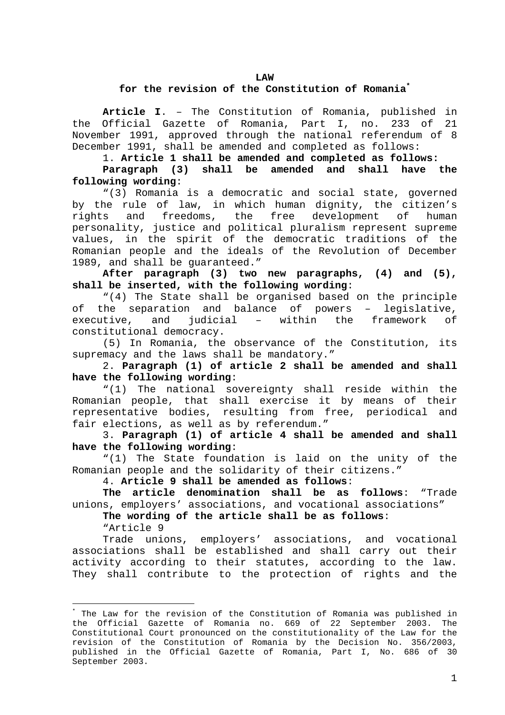#### **LAW**

#### **for the revision of the Constitution of Romani[a\\*](#page-0-0)**

**Article I**. – The Constitution of Romania, published in the Official Gazette of Romania, Part I, no. 233 of 21 November 1991, approved through the national referendum of 8 December 1991, shall be amended and completed as follows:

1. **Article 1 shall be amended and completed as follows:**

**Paragraph (3) shall be amended and shall have the following wording**:

"(3) Romania is a democratic and social state, governed by the rule of law, in which human dignity, the citizen's rights and freedoms, the free development of human personality, justice and political pluralism represent supreme values, in the spirit of the democratic traditions of the Romanian people and the ideals of the Revolution of December 1989, and shall be guaranteed."

**After paragraph (3) two new paragraphs, (4) and (5), shall be inserted, with the following wording**:

"(4) The State shall be organised based on the principle of the separation and balance of powers – legislative, executive, and judicial – within the framework of constitutional democracy.

(5) In Romania, the observance of the Constitution, its supremacy and the laws shall be mandatory."

2. **Paragraph (1) of article 2 shall be amended and shall have the following wording**:

"(1) The national sovereignty shall reside within the Romanian people, that shall exercise it by means of their representative bodies, resulting from free, periodical and fair elections, as well as by referendum."

3. **Paragraph (1) of article 4 shall be amended and shall have the following wording**:

"(1) The State foundation is laid on the unity of the Romanian people and the solidarity of their citizens."

4. **Article 9 shall be amended as follows**:

**The article denomination shall be as follows**: "Trade unions, employers' associations, and vocational associations"

**The wording of the article shall be as follows**:

"Article 9

i

Trade unions, employers' associations, and vocational associations shall be established and shall carry out their activity according to their statutes, according to the law. They shall contribute to the protection of rights and the

<span id="page-0-0"></span><sup>\*</sup> The Law for the revision of the Constitution of Romania was published in the Official Gazette of Romania no. 669 of 22 September 2003. The Constitutional Court pronounced on the constitutionality of the Law for the revision of the Constitution of Romania by the Decision No. 356/2003, published in the Official Gazette of Romania, Part I, No. 686 of 30 September 2003.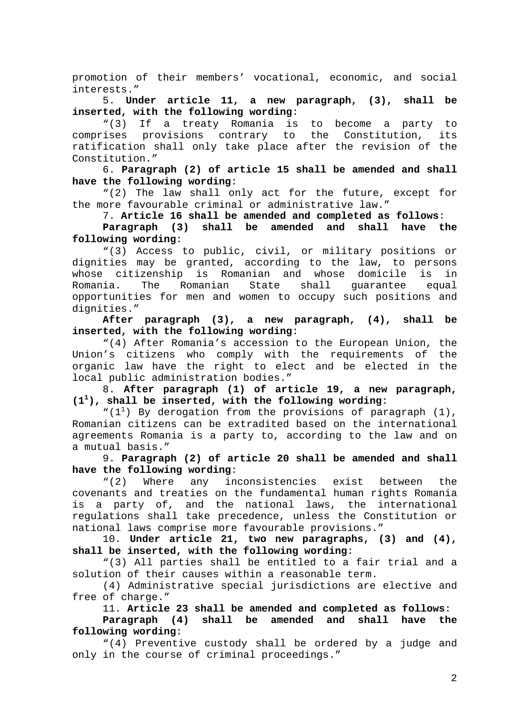promotion of their members' vocational, economic, and social interests."

5. **Under article 11, a new paragraph, (3), shall be inserted, with the following wording**:

"(3) If a treaty Romania is to become a party to comprises provisions contrary to the Constitution, its ratification shall only take place after the revision of the Constitution."

6. **Paragraph (2) of article 15 shall be amended and shall have the following wording**:

"(2) The law shall only act for the future, except for the more favourable criminal or administrative law."

7. **Article 16 shall be amended and completed as follows**:

**Paragraph (3) shall be amended and shall have the following wording**:

"(3) Access to public, civil, or military positions or dignities may be granted, according to the law, to persons whose citizenship is Romanian and whose domicile is in Romania. The Romanian State shall guarantee equal opportunities for men and women to occupy such positions and dignities."

**After paragraph (3), a new paragraph, (4), shall be inserted, with the following wording**:

"(4) After Romania's accession to the European Union, the Union's citizens who comply with the requirements of the organic law have the right to elect and be elected in the local public administration bodies."

8. **After paragraph (1) of article 19, a new paragraph, (1<sup>1</sup> ), shall be inserted, with the following wording**:

" $(1^1)$  By derogation from the provisions of paragraph  $(1)$ , Romanian citizens can be extradited based on the international agreements Romania is a party to, according to the law and on a mutual basis."

9. **Paragraph (2) of article 20 shall be amended and shall have the following wording**:

"(2) Where any inconsistencies exist between the covenants and treaties on the fundamental human rights Romania is a party of, and the national laws, the international regulations shall take precedence, unless the Constitution or national laws comprise more favourable provisions."

10. **Under article 21, two new paragraphs, (3) and (4), shall be inserted, with the following wording**:

"(3) All parties shall be entitled to a fair trial and a solution of their causes within a reasonable term.

(4) Administrative special jurisdictions are elective and free of charge."

11. **Article 23 shall be amended and completed as follows**:

**Paragraph (4) shall be amended and shall have the following wording**:

"(4) Preventive custody shall be ordered by a judge and only in the course of criminal proceedings."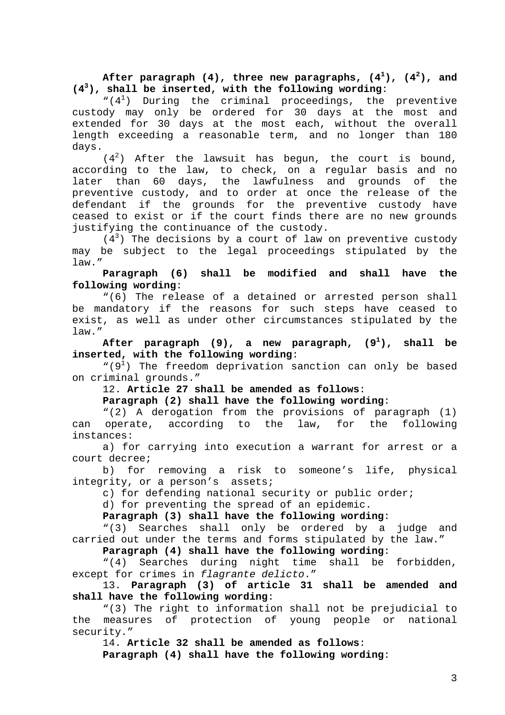<code>After paragraph (4), three new paragraphs, (4 $^1$ ), (4 $^2$ ), and</code> **(4<sup>3</sup> ), shall be inserted, with the following wording**:

" $(4^1)$  During the criminal proceedings, the preventive custody may only be ordered for 30 days at the most and extended for 30 days at the most each, without the overall length exceeding a reasonable term, and no longer than 180 days.

 $(4<sup>2</sup>)$  After the lawsuit has begun, the court is bound, according to the law, to check, on a regular basis and no later than 60 days, the lawfulness and grounds of the preventive custody, and to order at once the release of the defendant if the grounds for the preventive custody have ceased to exist or if the court finds there are no new grounds justifying the continuance of the custody.

 $(4<sup>3</sup>)$  The decisions by a court of law on preventive custody may be subject to the legal proceedings stipulated by the law."

# **Paragraph (6) shall be modified and shall have the following wording**:

"(6) The release of a detained or arrested person shall be mandatory if the reasons for such steps have ceased to exist, as well as under other circumstances stipulated by the law."

After paragraph  $(9)$ , a new paragraph,  $(9^1)$ , **), shall be inserted, with the following wording**:

"( $9<sup>1</sup>$ ) The freedom deprivation sanction can only be based on criminal grounds."

12. **Article 27 shall be amended as follows**:

**Paragraph (2) shall have the following wording**:

"(2) A derogation from the provisions of paragraph (1) can operate, according to the law, for the following instances:

a) for carrying into execution a warrant for arrest or a court decree;

b) for removing a risk to someone's life, physical integrity, or a person's assets;

c) for defending national security or public order;

d) for preventing the spread of an epidemic.

**Paragraph (3) shall have the following wording**:

"(3) Searches shall only be ordered by a judge and carried out under the terms and forms stipulated by the law."

**Paragraph (4) shall have the following wording**:

"(4) Searches during night time shall be forbidden, except for crimes in flagrante delicto."

13. **Paragraph (3) of article 31 shall be amended and shall have the following wording**:

"(3) The right to information shall not be prejudicial to the measures of protection of young people or national security."

14. **Article 32 shall be amended as follows**:

**Paragraph (4) shall have the following wording**: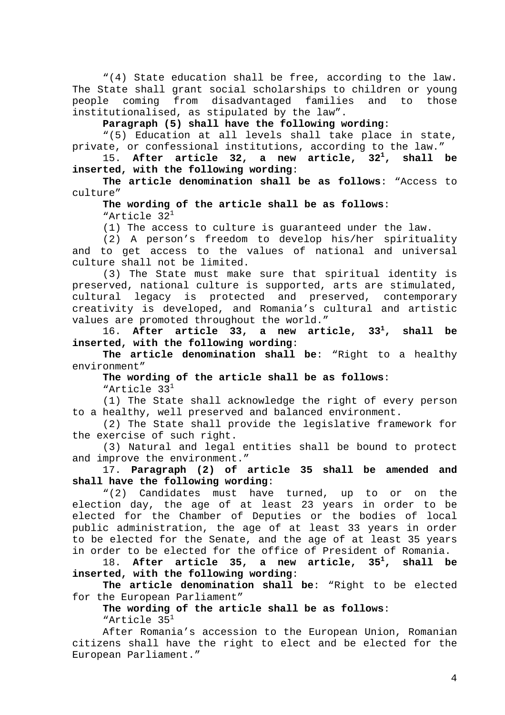"(4) State education shall be free, according to the law. The State shall grant social scholarships to children or young people coming from disadvantaged families and to those institutionalised, as stipulated by the law".

**Paragraph (5) shall have the following wording**:

"(5) Education at all levels shall take place in state, private, or confessional institutions, according to the law."

15. **After article 32, a new article, 321 , shall be inserted, with the following wording**:

**The article denomination shall be as follows**: "Access to culture"

### **The wording of the article shall be as follows**: "Article 32<sup>1</sup>

(1) The access to culture is guaranteed under the law.

(2) A person's freedom to develop his/her spirituality and to get access to the values of national and universal culture shall not be limited.

(3) The State must make sure that spiritual identity is preserved, national culture is supported, arts are stimulated, cultural legacy is protected and preserved, contemporary creativity is developed, and Romania's cultural and artistic values are promoted throughout the world."

16. **After article 33, a new article, 331 , shall be inserted, with the following wording**:

**The article denomination shall be**: "Right to a healthy environment"

**The wording of the article shall be as follows**:

"Article 33<sup>1</sup>

(1) The State shall acknowledge the right of every person to a healthy, well preserved and balanced environment.

(2) The State shall provide the legislative framework for the exercise of such right.

(3) Natural and legal entities shall be bound to protect and improve the environment."

17. **Paragraph (2) of article 35 shall be amended and shall have the following wording**:

"(2) Candidates must have turned, up to or on the election day, the age of at least 23 years in order to be elected for the Chamber of Deputies or the bodies of local public administration, the age of at least 33 years in order to be elected for the Senate, and the age of at least 35 years in order to be elected for the office of President of Romania.

18. **After article 35, a new article, 351 , shall be inserted, with the following wording**:

**The article denomination shall be**: "Right to be elected for the European Parliament"

**The wording of the article shall be as follows**: "Article 35<sup>1</sup>

After Romania's accession to the European Union, Romanian citizens shall have the right to elect and be elected for the European Parliament."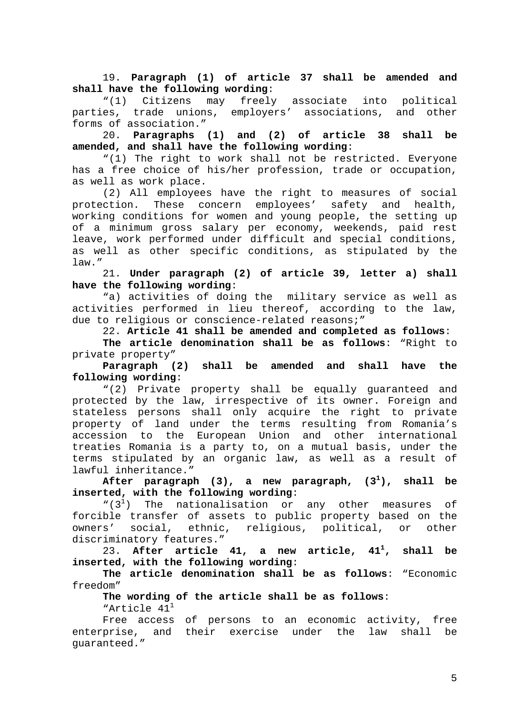19. **Paragraph (1) of article 37 shall be amended and shall have the following wording**:

"(1) Citizens may freely associate into political parties, trade unions, employers' associations, and other forms of association."

20. **Paragraphs (1) and (2) of article 38 shall be amended, and shall have the following wording**:

"(1) The right to work shall not be restricted. Everyone has a free choice of his/her profession, trade or occupation, as well as work place.

(2) All employees have the right to measures of social protection. These concern employees' safety and health, working conditions for women and young people, the setting up of a minimum gross salary per economy, weekends, paid rest leave, work performed under difficult and special conditions, as well as other specific conditions, as stipulated by the law."

21. **Under paragraph (2) of article 39, letter a) shall have the following wording**:

"a) activities of doing the military service as well as activities performed in lieu thereof, according to the law, due to religious or conscience-related reasons;"

22. **Article 41 shall be amended and completed as follows**:

**The article denomination shall be as follows**: "Right to private property"

**Paragraph (2) shall be amended and shall have the following wording**:

"(2) Private property shall be equally guaranteed and protected by the law, irrespective of its owner. Foreign and stateless persons shall only acquire the right to private property of land under the terms resulting from Romania's accession to the European Union and other international treaties Romania is a party to, on a mutual basis, under the terms stipulated by an organic law, as well as a result of lawful inheritance."

**After paragraph (3), a new paragraph, (31 ), shall be inserted, with the following wording**:

 $``(3<sup>1</sup>)$  The nationalisation or any other measures of forcible transfer of assets to public property based on the owners' social, ethnic, religious, political, or other discriminatory features."

23. **After article 41, a new article, 411 , shall be inserted, with the following wording**:

**The article denomination shall be as follows**: "Economic freedom"

**The wording of the article shall be as follows**:

"Article 41<sup>1</sup>

Free access of persons to an economic activity, free enterprise, and their exercise under the law shall be guaranteed."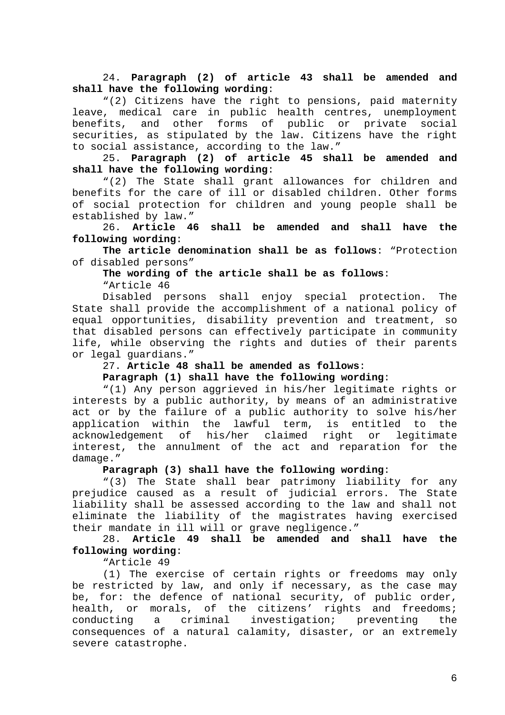24. **Paragraph (2) of article 43 shall be amended and shall have the following wording**:

"(2) Citizens have the right to pensions, paid maternity leave, medical care in public health centres, unemployment benefits, and other forms of public or private social securities, as stipulated by the law. Citizens have the right to social assistance, according to the law."

25. **Paragraph (2) of article 45 shall be amended and shall have the following wording**:

"(2) The State shall grant allowances for children and benefits for the care of ill or disabled children. Other forms of social protection for children and young people shall be established by law."

26. **Article 46 shall be amended and shall have the following wording**:

**The article denomination shall be as follows**: "Protection of disabled persons"

**The wording of the article shall be as follows**:

"Article 46

Disabled persons shall enjoy special protection. The State shall provide the accomplishment of a national policy of equal opportunities, disability prevention and treatment, so that disabled persons can effectively participate in community life, while observing the rights and duties of their parents or legal guardians."

## 27. **Article 48 shall be amended as follows**:

### **Paragraph (1) shall have the following wording**:

"(1) Any person aggrieved in his/her legitimate rights or interests by a public authority, by means of an administrative act or by the failure of a public authority to solve his/her application within the lawful term, is entitled to the acknowledgement of his/her claimed right or legitimate interest, the annulment of the act and reparation for the damage."

## **Paragraph (3) shall have the following wording**:

"(3) The State shall bear patrimony liability for any prejudice caused as a result of judicial errors. The State liability shall be assessed according to the law and shall not eliminate the liability of the magistrates having exercised their mandate in ill will or grave negligence."

# 28. **Article 49 shall be amended and shall have the following wording**:

"Article 49

(1) The exercise of certain rights or freedoms may only be restricted by law, and only if necessary, as the case may be, for: the defence of national security, of public order, health, or morals, of the citizens' rights and freedoms; conducting a criminal investigation; preventing the consequences of a natural calamity, disaster, or an extremely severe catastrophe.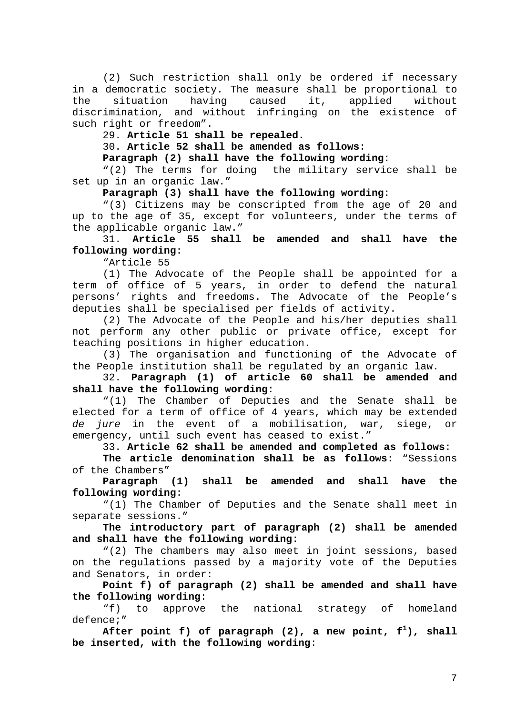(2) Such restriction shall only be ordered if necessary in a democratic society. The measure shall be proportional to the situation having caused it, applied without discrimination, and without infringing on the existence of such right or freedom".

29. **Article 51 shall be repealed.**

30. **Article 52 shall be amended as follows**:

**Paragraph (2) shall have the following wording**:

"(2) The terms for doing the military service shall be set up in an organic law."

**Paragraph (3) shall have the following wording**:

"(3) Citizens may be conscripted from the age of 20 and up to the age of 35, except for volunteers, under the terms of the applicable organic law."

31. **Article 55 shall be amended and shall have the following wording**:

"Article 55

(1) The Advocate of the People shall be appointed for a term of office of 5 years, in order to defend the natural persons' rights and freedoms. The Advocate of the People's deputies shall be specialised per fields of activity.

(2) The Advocate of the People and his/her deputies shall not perform any other public or private office, except for teaching positions in higher education.

(3) The organisation and functioning of the Advocate of the People institution shall be regulated by an organic law.

32. **Paragraph (1) of article 60 shall be amended and shall have the following wording**:

"(1) The Chamber of Deputies and the Senate shall be elected for a term of office of 4 years, which may be extended de jure in the event of a mobilisation, war, siege, or emergency, until such event has ceased to exist."

33. **Article 62 shall be amended and completed as follows**:

**The article denomination shall be as follows**: "Sessions of the Chambers"

**Paragraph (1) shall be amended and shall have the following wording**:

"(1) The Chamber of Deputies and the Senate shall meet in separate sessions."

**The introductory part of paragraph (2) shall be amended and shall have the following wording**:

"(2) The chambers may also meet in joint sessions, based on the regulations passed by a majority vote of the Deputies and Senators, in order:

**Point f) of paragraph (2) shall be amended and shall have the following wording**:

"f) to approve the national strategy of homeland defence;"

After point f) of paragraph (2), a new point,  $f^1$ ), shall **be inserted, with the following wording**: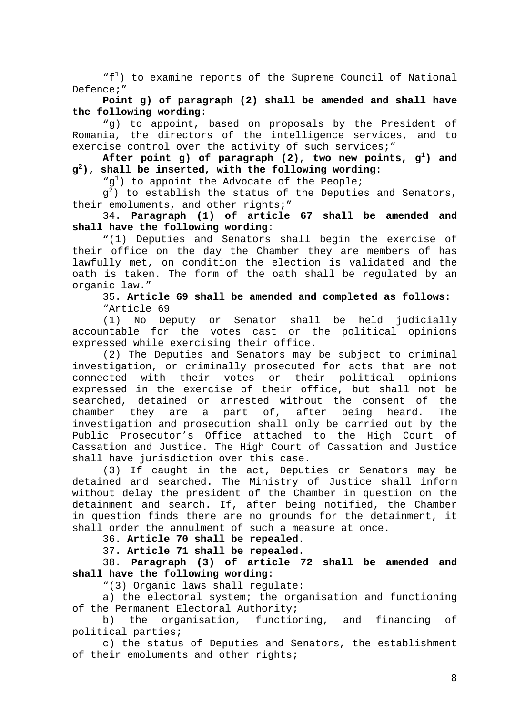"f<sup>1</sup>) to examine reports of the Supreme Council of National Defence;"

**Point g) of paragraph (2) shall be amended and shall have the following wording**:

"g) to appoint, based on proposals by the President of Romania, the directors of the intelligence services, and to exercise control over the activity of such services;"

<code>After point g</code>) of paragraph (2), two new points, <code>g<sup>1</sup>)</code> and **g2 ), shall be inserted, with the following wording**:

" $g^1$ ) to appoint the Advocate of the People;

 $g^2$ ) to establish the status of the Deputies and Senators, their emoluments, and other rights;"

34. **Paragraph (1) of article 67 shall be amended and shall have the following wording**:

"(1) Deputies and Senators shall begin the exercise of their office on the day the Chamber they are members of has lawfully met, on condition the election is validated and the oath is taken. The form of the oath shall be regulated by an organic law."

35. **Article 69 shall be amended and completed as follows**: "Article 69

(1) No Deputy or Senator shall be held judicially accountable for the votes cast or the political opinions expressed while exercising their office.

(2) The Deputies and Senators may be subject to criminal investigation, or criminally prosecuted for acts that are not connected with their votes or their political opinions expressed in the exercise of their office, but shall not be searched, detained or arrested without the consent of the chamber they are a part of, after being heard. The investigation and prosecution shall only be carried out by the Public Prosecutor's Office attached to the High Court of Cassation and Justice. The High Court of Cassation and Justice shall have jurisdiction over this case.

(3) If caught in the act, Deputies or Senators may be detained and searched. The Ministry of Justice shall inform without delay the president of the Chamber in question on the detainment and search. If, after being notified, the Chamber in question finds there are no grounds for the detainment, it shall order the annulment of such a measure at once.

36. **Article 70 shall be repealed.**

37. **Article 71 shall be repealed.**

38. **Paragraph (3) of article 72 shall be amended and shall have the following wording**:

"(3) Organic laws shall regulate:

a) the electoral system; the organisation and functioning of the Permanent Electoral Authority;

b) the organisation, functioning, and financing of political parties;

c) the status of Deputies and Senators, the establishment of their emoluments and other rights;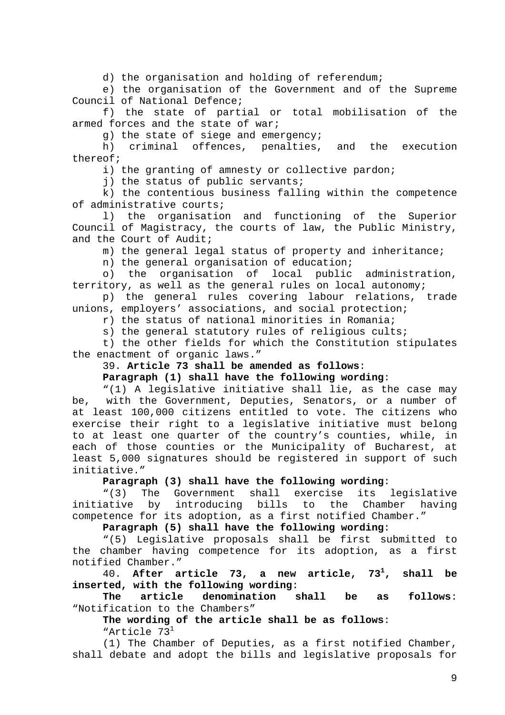d) the organisation and holding of referendum;

e) the organisation of the Government and of the Supreme Council of National Defence;

f) the state of partial or total mobilisation of the armed forces and the state of war;

g) the state of siege and emergency;

h) criminal offences, penalties, and the execution thereof;

i) the granting of amnesty or collective pardon;

j) the status of public servants;

k) the contentious business falling within the competence of administrative courts;

l) the organisation and functioning of the Superior Council of Magistracy, the courts of law, the Public Ministry, and the Court of Audit;

m) the general legal status of property and inheritance;

n) the general organisation of education;

o) the organisation of local public administration, territory, as well as the general rules on local autonomy;

p) the general rules covering labour relations, trade unions, employers' associations, and social protection;

r) the status of national minorities in Romania;

s) the general statutory rules of religious cults;

t) the other fields for which the Constitution stipulates the enactment of organic laws."

# 39. **Article 73 shall be amended as follows**:

**Paragraph (1) shall have the following wording**:

"(1) A legislative initiative shall lie, as the case may be, with the Government, Deputies, Senators, or a number of at least 100,000 citizens entitled to vote. The citizens who exercise their right to a legislative initiative must belong to at least one quarter of the country's counties, while, in each of those counties or the Municipality of Bucharest, at least 5,000 signatures should be registered in support of such initiative."

**Paragraph (3) shall have the following wording**:

"(3) The Government shall exercise its legislative initiative by introducing bills to the Chamber having competence for its adoption, as a first notified Chamber."

**Paragraph (5) shall have the following wording**:

"(5) Legislative proposals shall be first submitted to the chamber having competence for its adoption, as a first notified Chamber."

40. **After article 73, a new article, 731 , shall be inserted, with the following wording**:

**The article denomination shall be as follows**: "Notification to the Chambers"

**The wording of the article shall be as follows**: "Article 73<sup>1</sup>

(1) The Chamber of Deputies, as a first notified Chamber, shall debate and adopt the bills and legislative proposals for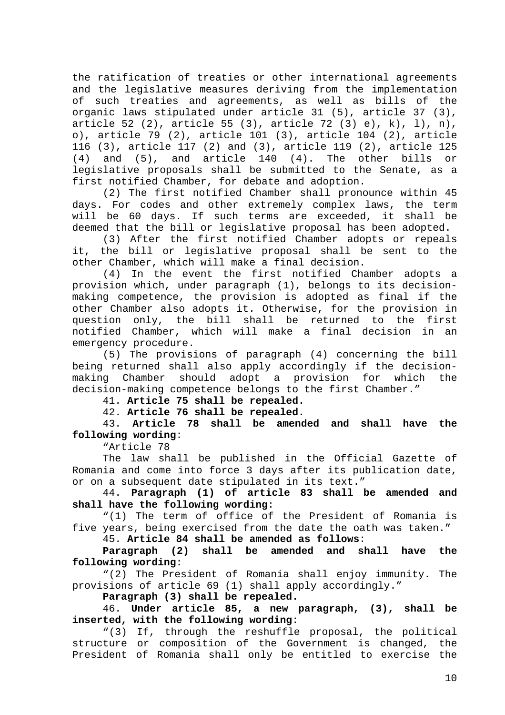the ratification of treaties or other international agreements and the legislative measures deriving from the implementation of such treaties and agreements, as well as bills of the organic laws stipulated under article 31 (5), article 37 (3), article 52 (2), article 55 (3), article 72 (3) e), k), l), n), o), article 79 (2), article 101 (3), article 104 (2), article 116 (3), article 117 (2) and (3), article 119 (2), article 125 (4) and (5), and article 140 (4). The other bills or legislative proposals shall be submitted to the Senate, as a first notified Chamber, for debate and adoption.

(2) The first notified Chamber shall pronounce within 45 days. For codes and other extremely complex laws, the term will be 60 days. If such terms are exceeded, it shall be deemed that the bill or legislative proposal has been adopted.

(3) After the first notified Chamber adopts or repeals it, the bill or legislative proposal shall be sent to the other Chamber, which will make a final decision.

(4) In the event the first notified Chamber adopts a provision which, under paragraph (1), belongs to its decisionmaking competence, the provision is adopted as final if the other Chamber also adopts it. Otherwise, for the provision in question only, the bill shall be returned to the first notified Chamber, which will make a final decision in an emergency procedure.

(5) The provisions of paragraph (4) concerning the bill being returned shall also apply accordingly if the decisionmaking Chamber should adopt a provision for which the decision-making competence belongs to the first Chamber."

41. **Article 75 shall be repealed.**

42. **Article 76 shall be repealed.**

43. **Article 78 shall be amended and shall have the following wording**:

"Article 78

The law shall be published in the Official Gazette of Romania and come into force 3 days after its publication date, or on a subsequent date stipulated in its text."

44. **Paragraph (1) of article 83 shall be amended and shall have the following wording**:

"(1) The term of office of the President of Romania is five years, being exercised from the date the oath was taken."

45. **Article 84 shall be amended as follows**:

**Paragraph (2) shall be amended and shall have the following wording**:

"(2) The President of Romania shall enjoy immunity. The provisions of article 69 (1) shall apply accordingly."

**Paragraph (3) shall be repealed.**

46. **Under article 85, a new paragraph, (3), shall be inserted, with the following wording**:

"(3) If, through the reshuffle proposal, the political structure or composition of the Government is changed, the President of Romania shall only be entitled to exercise the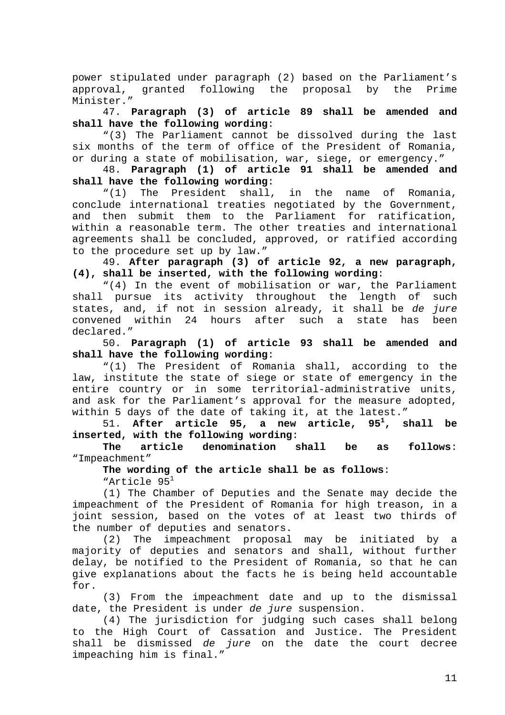power stipulated under paragraph (2) based on the Parliament's approval, granted following the proposal by the Prime Minister."

47. **Paragraph (3) of article 89 shall be amended and shall have the following wording**:

"(3) The Parliament cannot be dissolved during the last six months of the term of office of the President of Romania, or during a state of mobilisation, war, siege, or emergency."

48. **Paragraph (1) of article 91 shall be amended and shall have the following wording**:

"(1) The President shall, in the name of Romania, conclude international treaties negotiated by the Government, and then submit them to the Parliament for ratification, within a reasonable term. The other treaties and international agreements shall be concluded, approved, or ratified according to the procedure set up by law."

49. **After paragraph (3) of article 92, a new paragraph, (4), shall be inserted, with the following wording**:

"(4) In the event of mobilisation or war, the Parliament shall pursue its activity throughout the length of such states, and, if not in session already, it shall be de jure convened within 24 hours after such a state has been declared."

50. **Paragraph (1) of article 93 shall be amended and shall have the following wording**:

"(1) The President of Romania shall, according to the law, institute the state of siege or state of emergency in the entire country or in some territorial-administrative units, and ask for the Parliament's approval for the measure adopted, within 5 days of the date of taking it, at the latest."

51. **After article 95, a new article, 951 , shall be inserted, with the following wording**:

**The article denomination shall be as follows**: "Impeachment"

**The wording of the article shall be as follows**:

"Article 95<sup>1</sup>

(1) The Chamber of Deputies and the Senate may decide the impeachment of the President of Romania for high treason, in a joint session, based on the votes of at least two thirds of the number of deputies and senators.

(2) The impeachment proposal may be initiated by a majority of deputies and senators and shall, without further delay, be notified to the President of Romania, so that he can give explanations about the facts he is being held accountable for.

(3) From the impeachment date and up to the dismissal date, the President is under de jure suspension.

(4) The jurisdiction for judging such cases shall belong to the High Court of Cassation and Justice. The President shall be dismissed de jure on the date the court decree impeaching him is final."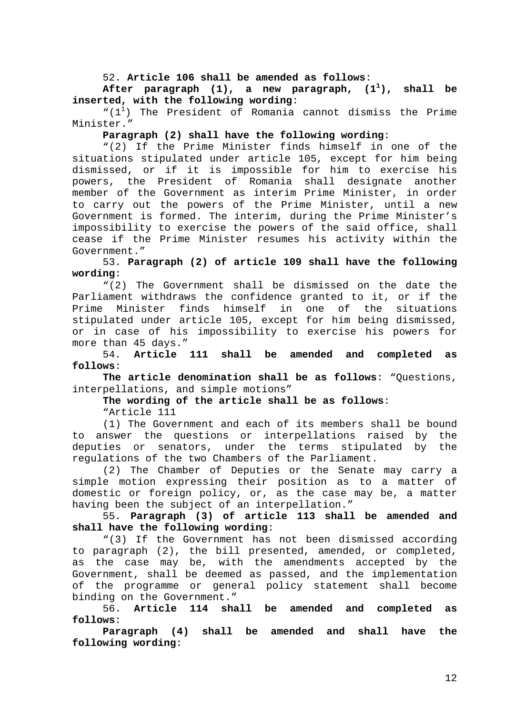52. **Article 106 shall be amended as follows**:

**After paragraph (1), a new paragraph, (11 ), shall be inserted, with the following wording**:

" $(1^1)$  The President of Romania cannot dismiss the Prime Minister."

#### **Paragraph (2) shall have the following wording**:

"(2) If the Prime Minister finds himself in one of the situations stipulated under article 105, except for him being dismissed, or if it is impossible for him to exercise his powers, the President of Romania shall designate another member of the Government as interim Prime Minister, in order to carry out the powers of the Prime Minister, until a new Government is formed. The interim, during the Prime Minister's impossibility to exercise the powers of the said office, shall cease if the Prime Minister resumes his activity within the Government."

53. **Paragraph (2) of article 109 shall have the following wording**:

"(2) The Government shall be dismissed on the date the Parliament withdraws the confidence granted to it, or if the Prime Minister finds himself in one of the situations stipulated under article 105, except for him being dismissed, or in case of his impossibility to exercise his powers for more than 45 days."

54. **Article 111 shall be amended and completed as follows**:

**The article denomination shall be as follows**: "Questions, interpellations, and simple motions"

**The wording of the article shall be as follows**:

"Article 111

(1) The Government and each of its members shall be bound to answer the questions or interpellations raised by the deputies or senators, under the terms stipulated by the regulations of the two Chambers of the Parliament.

(2) The Chamber of Deputies or the Senate may carry a simple motion expressing their position as to a matter of domestic or foreign policy, or, as the case may be, a matter having been the subject of an interpellation."

55. **Paragraph (3) of article 113 shall be amended and shall have the following wording**:

"(3) If the Government has not been dismissed according to paragraph (2), the bill presented, amended, or completed, as the case may be, with the amendments accepted by the Government, shall be deemed as passed, and the implementation of the programme or general policy statement shall become binding on the Government."

56. **Article 114 shall be amended and completed as follows**:

**Paragraph (4) shall be amended and shall have the following wording**: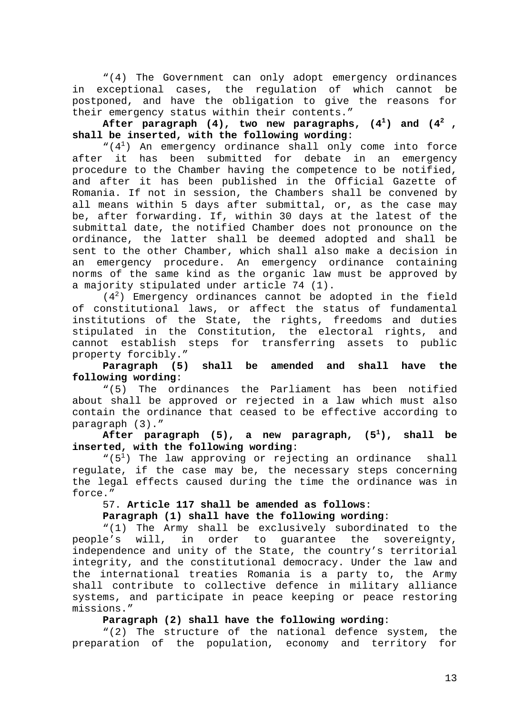"(4) The Government can only adopt emergency ordinances in exceptional cases, the regulation of which cannot be postponed, and have the obligation to give the reasons for their emergency status within their contents."

**After paragraph (4), two new paragraphs, (41 ) and (42 , shall be inserted, with the following wording**:

 $``(4<sup>1</sup>)$  An emergency ordinance shall only come into force after it has been submitted for debate in an emergency procedure to the Chamber having the competence to be notified, and after it has been published in the Official Gazette of Romania. If not in session, the Chambers shall be convened by all means within 5 days after submittal, or, as the case may be, after forwarding. If, within 30 days at the latest of the submittal date, the notified Chamber does not pronounce on the ordinance, the latter shall be deemed adopted and shall be sent to the other Chamber, which shall also make a decision in an emergency procedure. An emergency ordinance containing norms of the same kind as the organic law must be approved by a majority stipulated under article 74 (1).

(42 ) Emergency ordinances cannot be adopted in the field of constitutional laws, or affect the status of fundamental institutions of the State, the rights, freedoms and duties stipulated in the Constitution, the electoral rights, and cannot establish steps for transferring assets to public property forcibly."

**Paragraph (5) shall be amended and shall have the following wording**:

"(5) The ordinances the Parliament has been notified about shall be approved or rejected in a law which must also contain the ordinance that ceased to be effective according to paragraph (3)."

**After paragraph (5), a new paragraph, (51 ), shall be inserted, with the following wording**:

" $(5<sup>1</sup>)$  The law approving or rejecting an ordinance shall regulate, if the case may be, the necessary steps concerning the legal effects caused during the time the ordinance was in force."

# 57. **Article 117 shall be amended as follows**:

# **Paragraph (1) shall have the following wording**:

"(1) The Army shall be exclusively subordinated to the people's will, in order to guarantee the sovereignty, independence and unity of the State, the country's territorial integrity, and the constitutional democracy. Under the law and the international treaties Romania is a party to, the Army shall contribute to collective defence in military alliance systems, and participate in peace keeping or peace restoring missions."

### **Paragraph (2) shall have the following wording**:

"(2) The structure of the national defence system, the preparation of the population, economy and territory for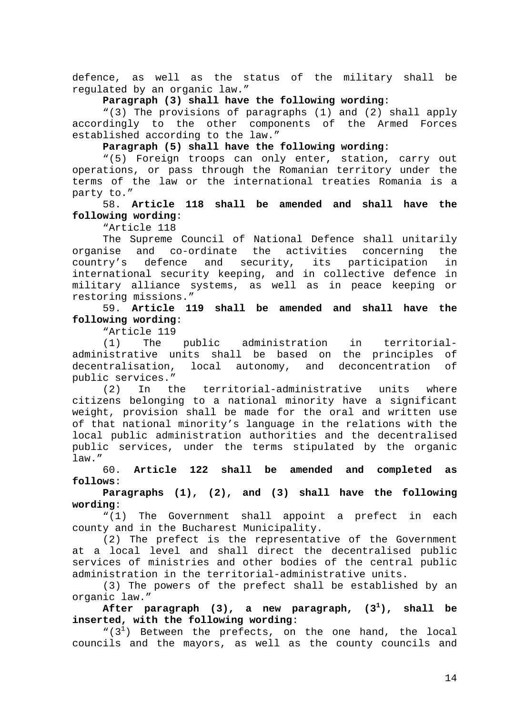defence, as well as the status of the military shall be regulated by an organic law."

**Paragraph (3) shall have the following wording**:

"(3) The provisions of paragraphs (1) and (2) shall apply accordingly to the other components of the Armed Forces established according to the law."

**Paragraph (5) shall have the following wording**:

"(5) Foreign troops can only enter, station, carry out operations, or pass through the Romanian territory under the terms of the law or the international treaties Romania is a party to."

58. **Article 118 shall be amended and shall have the following wording**:

"Article 118

The Supreme Council of National Defence shall unitarily organise and co-ordinate the activities concerning the country's defence and security, its participation in international security keeping, and in collective defence in military alliance systems, as well as in peace keeping or restoring missions."

59. **Article 119 shall be amended and shall have the following wording**:

"Article 119

(1) The public administration in territorialadministrative units shall be based on the principles of decentralisation, local autonomy, and deconcentration of public services."

(2) In the territorial-administrative units where citizens belonging to a national minority have a significant weight, provision shall be made for the oral and written use of that national minority's language in the relations with the local public administration authorities and the decentralised public services, under the terms stipulated by the organic law."

60. **Article 122 shall be amended and completed as follows**:

**Paragraphs (1), (2), and (3) shall have the following wording**:

"(1) The Government shall appoint a prefect in each county and in the Bucharest Municipality.

(2) The prefect is the representative of the Government at a local level and shall direct the decentralised public services of ministries and other bodies of the central public administration in the territorial-administrative units.

(3) The powers of the prefect shall be established by an organic law."

After paragraph  $(3)$ , a new paragraph,  $(3^1)$ , **), shall be inserted, with the following wording**:

" $(3<sup>1</sup>)$  Between the prefects, on the one hand, the local councils and the mayors, as well as the county councils and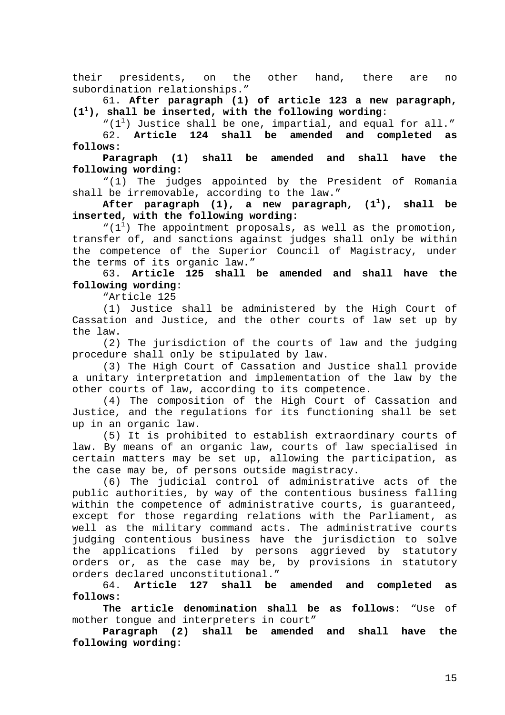their presidents, on the other hand, there are no subordination relationships."

61. **After paragraph (1) of article 123 a new paragraph, (1<sup>1</sup> ), shall be inserted, with the following wording**:

" $(1^1)$  Justice shall be one, impartial, and equal for all." 62. **Article 124 shall be amended and completed as**

**follows**: **Paragraph (1) shall be amended and shall have the**

**following wording**:

"(1) The judges appointed by the President of Romania shall be irremovable, according to the law."

**After paragraph (1), a new paragraph, (11 ), shall be inserted, with the following wording**:

" $(1^1)$  The appointment proposals, as well as the promotion, transfer of, and sanctions against judges shall only be within the competence of the Superior Council of Magistracy, under the terms of its organic law."

63. **Article 125 shall be amended and shall have the following wording**:

"Article 125

(1) Justice shall be administered by the High Court of Cassation and Justice, and the other courts of law set up by the law.

(2) The jurisdiction of the courts of law and the judging procedure shall only be stipulated by law.

(3) The High Court of Cassation and Justice shall provide a unitary interpretation and implementation of the law by the other courts of law, according to its competence.

(4) The composition of the High Court of Cassation and Justice, and the regulations for its functioning shall be set up in an organic law.

(5) It is prohibited to establish extraordinary courts of law. By means of an organic law, courts of law specialised in certain matters may be set up, allowing the participation, as the case may be, of persons outside magistracy.

(6) The judicial control of administrative acts of the public authorities, by way of the contentious business falling within the competence of administrative courts, is guaranteed, except for those regarding relations with the Parliament, as well as the military command acts. The administrative courts judging contentious business have the jurisdiction to solve the applications filed by persons aggrieved by statutory orders or, as the case may be, by provisions in statutory orders declared unconstitutional."

64. **Article 127 shall be amended and completed as follows**:

**The article denomination shall be as follows**: "Use of mother tongue and interpreters in court"

**Paragraph (2) shall be amended and shall have the following wording**: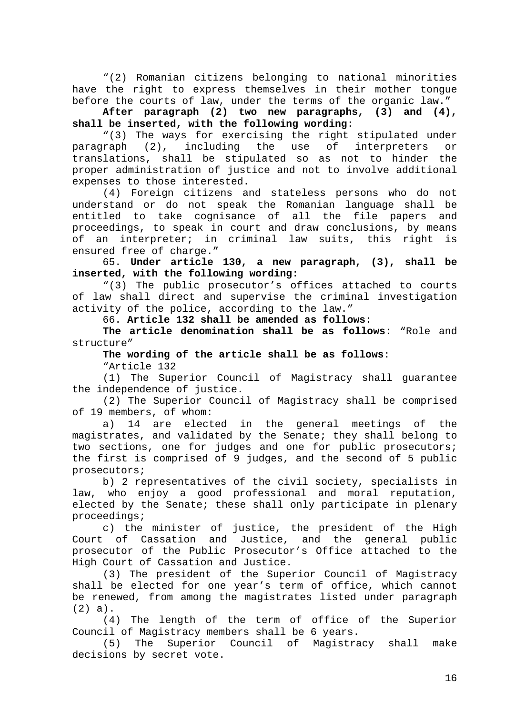"(2) Romanian citizens belonging to national minorities have the right to express themselves in their mother tongue before the courts of law, under the terms of the organic law."

**After paragraph (2) two new paragraphs, (3) and (4), shall be inserted, with the following wording**:

"(3) The ways for exercising the right stipulated under paragraph (2), including the use of interpreters or translations, shall be stipulated so as not to hinder the proper administration of justice and not to involve additional expenses to those interested.

(4) Foreign citizens and stateless persons who do not understand or do not speak the Romanian language shall be entitled to take cognisance of all the file papers and proceedings, to speak in court and draw conclusions, by means of an interpreter; in criminal law suits, this right is ensured free of charge."

65. **Under article 130, a new paragraph, (3), shall be inserted, with the following wording**:

"(3) The public prosecutor's offices attached to courts of law shall direct and supervise the criminal investigation activity of the police, according to the law."

66. **Article 132 shall be amended as follows**:

**The article denomination shall be as follows**: "Role and structure"

**The wording of the article shall be as follows**:

"Article 132

(1) The Superior Council of Magistracy shall guarantee the independence of justice.

(2) The Superior Council of Magistracy shall be comprised of 19 members, of whom:

a) 14 are elected in the general meetings of the magistrates, and validated by the Senate; they shall belong to two sections, one for judges and one for public prosecutors; the first is comprised of 9 judges, and the second of 5 public prosecutors;

b) 2 representatives of the civil society, specialists in law, who enjoy a good professional and moral reputation, elected by the Senate; these shall only participate in plenary proceedings;

c) the minister of justice, the president of the High Court of Cassation and Justice, and the general public prosecutor of the Public Prosecutor's Office attached to the High Court of Cassation and Justice.

(3) The president of the Superior Council of Magistracy shall be elected for one year's term of office, which cannot be renewed, from among the magistrates listed under paragraph (2) a).

(4) The length of the term of office of the Superior Council of Magistracy members shall be 6 years.

(5) The Superior Council of Magistracy shall make decisions by secret vote.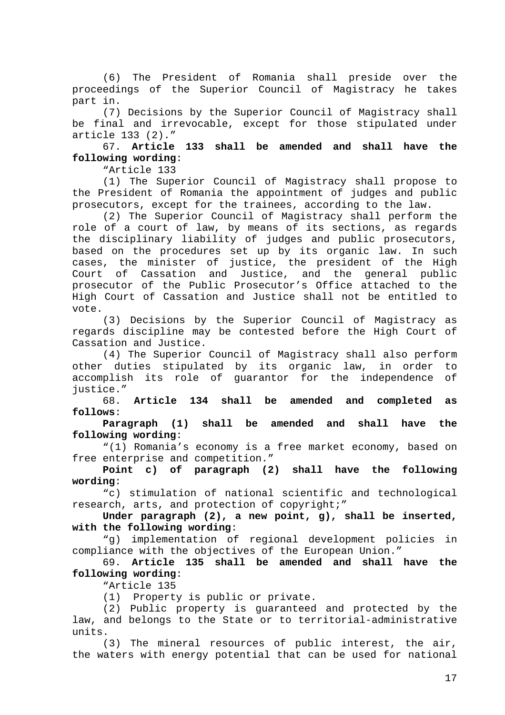(6) The President of Romania shall preside over the proceedings of the Superior Council of Magistracy he takes part in.

(7) Decisions by the Superior Council of Magistracy shall be final and irrevocable, except for those stipulated under article 133 (2)."

67. **Article 133 shall be amended and shall have the following wording**:

"Article 133

(1) The Superior Council of Magistracy shall propose to the President of Romania the appointment of judges and public prosecutors, except for the trainees, according to the law.

(2) The Superior Council of Magistracy shall perform the role of a court of law, by means of its sections, as regards the disciplinary liability of judges and public prosecutors, based on the procedures set up by its organic law. In such cases, the minister of justice, the president of the High Court of Cassation and Justice, and the general public prosecutor of the Public Prosecutor's Office attached to the High Court of Cassation and Justice shall not be entitled to vote.

(3) Decisions by the Superior Council of Magistracy as regards discipline may be contested before the High Court of Cassation and Justice.

(4) The Superior Council of Magistracy shall also perform other duties stipulated by its organic law, in order to accomplish its role of guarantor for the independence of justice."

68. **Article 134 shall be amended and completed as follows**:

**Paragraph (1) shall be amended and shall have the following wording**:

"(1) Romania's economy is a free market economy, based on free enterprise and competition."

**Point c) of paragraph (2) shall have the following wording**:

"c) stimulation of national scientific and technological research, arts, and protection of copyright;"

**Under paragraph (2), a new point, g), shall be inserted, with the following wording**:

"g) implementation of regional development policies in compliance with the objectives of the European Union."

69. **Article 135 shall be amended and shall have the following wording**:

"Article 135

(1) Property is public or private.

(2) Public property is guaranteed and protected by the law, and belongs to the State or to territorial-administrative units.

(3) The mineral resources of public interest, the air, the waters with energy potential that can be used for national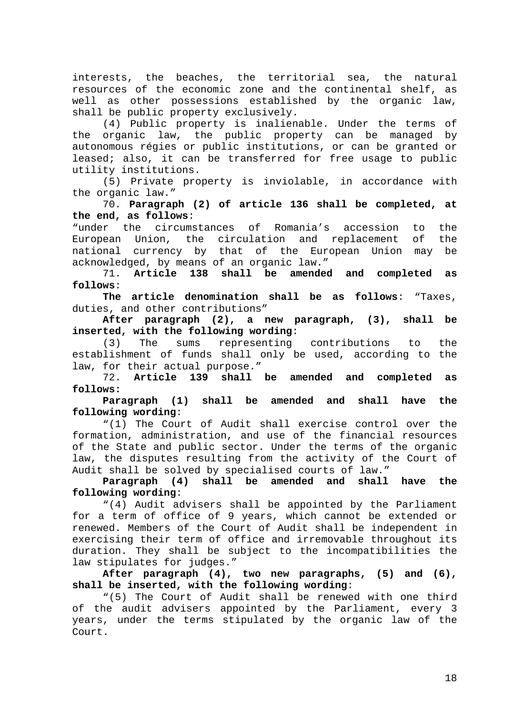interests, the beaches, the territorial sea, the natural resources of the economic zone and the continental shelf, as well as other possessions established by the organic law, shall be public property exclusively.

(4) Public property is inalienable. Under the terms of the organic law, the public property can be managed by autonomous régies or public institutions, or can be granted or leased; also, it can be transferred for free usage to public utility institutions.

(5) Private property is inviolable, in accordance with the organic law."

70. **Paragraph (2) of article 136 shall be completed, at the end, as follows**:

"under the circumstances of Romania's accession to the European Union, the circulation and replacement of the national currency by that of the European Union may be acknowledged, by means of an organic law."

71. **Article 138 shall be amended and completed as follows**:

**The article denomination shall be as follows**: "Taxes, duties, and other contributions"

**After paragraph (2), a new paragraph, (3), shall be inserted, with the following wording**:

(3) The sums representing contributions to the establishment of funds shall only be used, according to the law, for their actual purpose."

72. **Article 139 shall be amended and completed as follows:**

**Paragraph (1) shall be amended and shall have the following wording**:

"(1) The Court of Audit shall exercise control over the formation, administration, and use of the financial resources of the State and public sector. Under the terms of the organic law, the disputes resulting from the activity of the Court of Audit shall be solved by specialised courts of law."

**Paragraph (4) shall be amended and shall have the following wording**:

"(4) Audit advisers shall be appointed by the Parliament for a term of office of 9 years, which cannot be extended or renewed. Members of the Court of Audit shall be independent in exercising their term of office and irremovable throughout its duration. They shall be subject to the incompatibilities the law stipulates for judges."

**After paragraph (4), two new paragraphs, (5) and (6), shall be inserted, with the following wording**:

"(5) The Court of Audit shall be renewed with one third of the audit advisers appointed by the Parliament, every 3 years, under the terms stipulated by the organic law of the Court.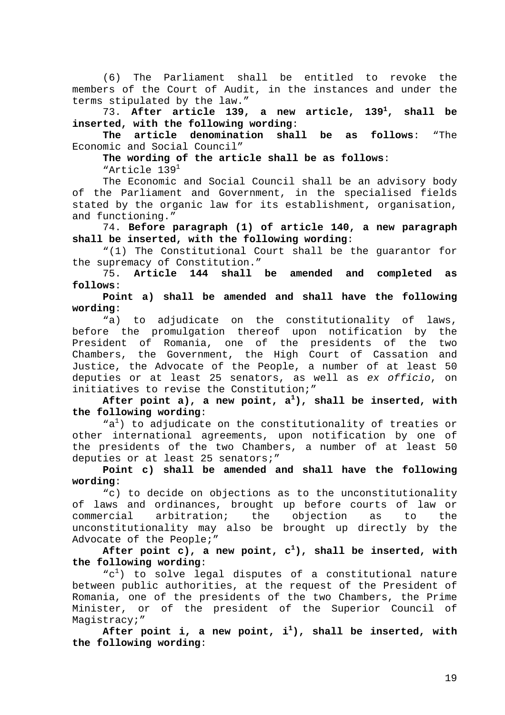(6) The Parliament shall be entitled to revoke the members of the Court of Audit, in the instances and under the terms stipulated by the law."

73. **After article 139, a new article, 139<sup>1</sup> , shall be inserted, with the following wording**:

**The article denomination shall be as follows**: "The Economic and Social Council"

**The wording of the article shall be as follows**: "Article 1391

The Economic and Social Council shall be an advisory body of the Parliament and Government, in the specialised fields stated by the organic law for its establishment, organisation, and functioning."

74. **Before paragraph (1) of article 140, a new paragraph shall be inserted, with the following wording**:

"(1) The Constitutional Court shall be the guarantor for the supremacy of Constitution."

75. **Article 144 shall be amended and completed as follows**:

**Point a) shall be amended and shall have the following wording**:

"a) to adjudicate on the constitutionality of laws, before the promulgation thereof upon notification by the President of Romania, one of the presidents of the two Chambers, the Government, the High Court of Cassation and Justice, the Advocate of the People, a number of at least 50 deputies or at least 25 senators, as well as ex officio, on initiatives to revise the Constitution;"

After point a), a new point, a<sup>1</sup>), shall be inserted, with **the following wording**:

"a<sup>1</sup>) to adjudicate on the constitutionality of treaties or other international agreements, upon notification by one of the presidents of the two Chambers, a number of at least 50 deputies or at least 25 senators;"

**Point c) shall be amended and shall have the following wording**:

"c) to decide on objections as to the unconstitutionality of laws and ordinances, brought up before courts of law or commercial arbitration; the objection as to the unconstitutionality may also be brought up directly by the Advocate of the People;"

After point c), a new point, c<sup>1</sup>), shall be inserted, with **the following wording**:

"c<sup>1</sup>) to solve legal disputes of a constitutional nature between public authorities, at the request of the President of Romania, one of the presidents of the two Chambers, the Prime Minister, or of the president of the Superior Council of Magistracy;"

After point i, a new point, i<sup>1</sup>), shall be inserted, with **the following wording**: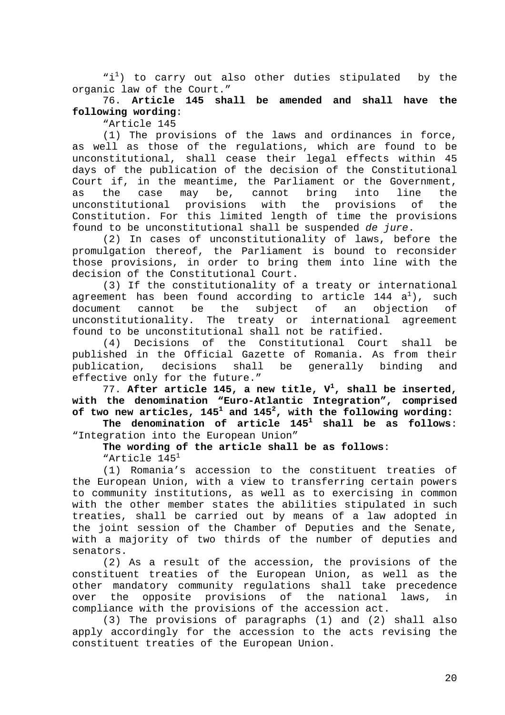"i<sup>1</sup>) to carry out also other duties stipulated by the organic law of the Court."

76. **Article 145 shall be amended and shall have the following wording**:

"Article 145

(1) The provisions of the laws and ordinances in force, as well as those of the regulations, which are found to be unconstitutional, shall cease their legal effects within 45 days of the publication of the decision of the Constitutional Court if, in the meantime, the Parliament or the Government, as the case may be, cannot bring into line the unconstitutional provisions with the provisions of the Constitution. For this limited length of time the provisions found to be unconstitutional shall be suspended de jure.

(2) In cases of unconstitutionality of laws, before the promulgation thereof, the Parliament is bound to reconsider those provisions, in order to bring them into line with the decision of the Constitutional Court.

(3) If the constitutionality of a treaty or international agreement has been found according to article 144  $\texttt{a}^{\texttt{l}}$ ), such document cannot be the subject of an objection of unconstitutionality. The treaty or international agreement found to be unconstitutional shall not be ratified.

(4) Decisions of the Constitutional Court shall be published in the Official Gazette of Romania. As from their publication, decisions shall be generally binding and effective only for the future."

77. **After article 145, a new title, V1 , shall be inserted, with the denomination "Euro-Atlantic Integration", comprised of two new articles, 1451 and 1452 , with the following wording:**

**The denomination of article 1451 shall be as follows**: "Integration into the European Union"

**The wording of the article shall be as follows**: "Article 1451

(1) Romania's accession to the constituent treaties of the European Union, with a view to transferring certain powers to community institutions, as well as to exercising in common with the other member states the abilities stipulated in such treaties, shall be carried out by means of a law adopted in the joint session of the Chamber of Deputies and the Senate, with a majority of two thirds of the number of deputies and senators.

(2) As a result of the accession, the provisions of the constituent treaties of the European Union, as well as the other mandatory community regulations shall take precedence over the opposite provisions of the national laws, in compliance with the provisions of the accession act.

(3) The provisions of paragraphs (1) and (2) shall also apply accordingly for the accession to the acts revising the constituent treaties of the European Union.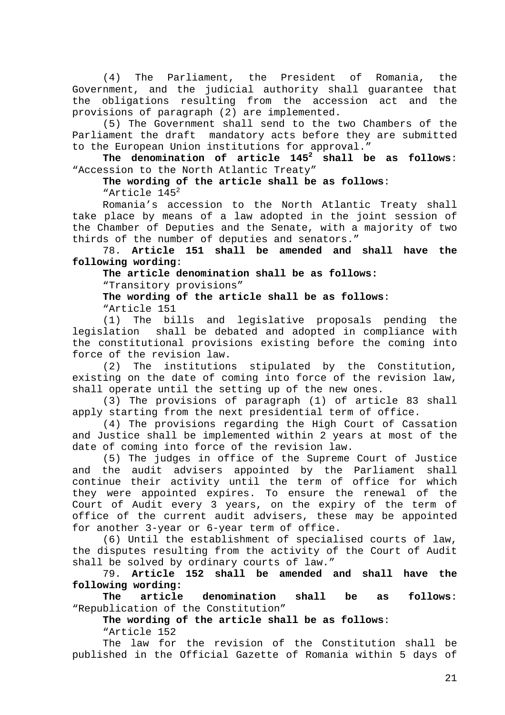(4) The Parliament, the President of Romania, the Government, and the judicial authority shall guarantee that the obligations resulting from the accession act and the provisions of paragraph (2) are implemented.

(5) The Government shall send to the two Chambers of the Parliament the draft mandatory acts before they are submitted to the European Union institutions for approval."

**The denomination of article 1452 shall be as follows**: "Accession to the North Atlantic Treaty"

**The wording of the article shall be as follows**:

"Article 1452

Romania's accession to the North Atlantic Treaty shall take place by means of a law adopted in the joint session of the Chamber of Deputies and the Senate, with a majority of two thirds of the number of deputies and senators."

78. **Article 151 shall be amended and shall have the following wording**:

**The article denomination shall be as follows:** "Transitory provisions"

**The wording of the article shall be as follows**:

"Article 151

(1) The bills and legislative proposals pending the legislation shall be debated and adopted in compliance with the constitutional provisions existing before the coming into force of the revision law.

(2) The institutions stipulated by the Constitution, existing on the date of coming into force of the revision law, shall operate until the setting up of the new ones.

(3) The provisions of paragraph (1) of article 83 shall apply starting from the next presidential term of office.

(4) The provisions regarding the High Court of Cassation and Justice shall be implemented within 2 years at most of the date of coming into force of the revision law.

(5) The judges in office of the Supreme Court of Justice and the audit advisers appointed by the Parliament shall continue their activity until the term of office for which they were appointed expires. To ensure the renewal of the Court of Audit every 3 years, on the expiry of the term of office of the current audit advisers, these may be appointed for another 3-year or 6-year term of office.

(6) Until the establishment of specialised courts of law, the disputes resulting from the activity of the Court of Audit shall be solved by ordinary courts of law."

79. **Article 152 shall be amended and shall have the following wording:**

**The article denomination shall be as follows**: "Republication of the Constitution"

**The wording of the article shall be as follows**: "Article 152

The law for the revision of the Constitution shall be published in the Official Gazette of Romania within 5 days of